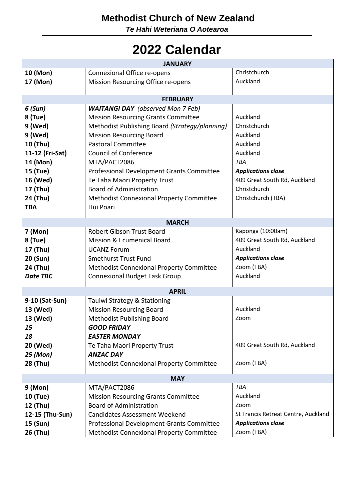## **Methodist Church of New Zealand**

*Te Hāhi Weteriana O Aotearoa*

## **2022 Calendar**

| <b>JANUARY</b>     |                                                                                        |                                     |  |  |
|--------------------|----------------------------------------------------------------------------------------|-------------------------------------|--|--|
| 10 (Mon)           | Connexional Office re-opens                                                            | Christchurch                        |  |  |
| 17 (Mon)           | Mission Resourcing Office re-opens                                                     | Auckland                            |  |  |
|                    |                                                                                        |                                     |  |  |
| <b>FEBRUARY</b>    |                                                                                        |                                     |  |  |
| 6 (Sun)<br>8 (Tue) | <b>WAITANGI DAY</b> (observed Mon 7 Feb)<br><b>Mission Resourcing Grants Committee</b> | Auckland                            |  |  |
| 9 (Wed)            | Methodist Publishing Board (Strategy/planning)                                         | Christchurch                        |  |  |
| 9 (Wed)            | <b>Mission Resourcing Board</b>                                                        | Auckland                            |  |  |
| 10 (Thu)           | <b>Pastoral Committee</b>                                                              | Auckland                            |  |  |
| 11-12 (Fri-Sat)    | <b>Council of Conference</b>                                                           | Auckland                            |  |  |
| 14 (Mon)           | MTA/PACT2086                                                                           | TBA                                 |  |  |
| 15 (Tue)           | Professional Development Grants Committee                                              | <b>Applications close</b>           |  |  |
| 16 (Wed)           | Te Taha Maori Property Trust                                                           | 409 Great South Rd, Auckland        |  |  |
| 17 (Thu)           | <b>Board of Administration</b>                                                         | Christchurch                        |  |  |
| 24 (Thu)           | Methodist Connexional Property Committee                                               | Christchurch (TBA)                  |  |  |
| <b>TBA</b>         | Hui Poari                                                                              |                                     |  |  |
|                    |                                                                                        |                                     |  |  |
| <b>MARCH</b>       |                                                                                        |                                     |  |  |
| 7 (Mon)            | <b>Robert Gibson Trust Board</b>                                                       | Kaponga (10:00am)                   |  |  |
| 8 (Tue)            | <b>Mission &amp; Ecumenical Board</b>                                                  | 409 Great South Rd, Auckland        |  |  |
| 17 (Thu)           | <b>UCANZ Forum</b>                                                                     | Auckland                            |  |  |
| 20 (Sun)           | <b>Smethurst Trust Fund</b>                                                            | <b>Applications close</b>           |  |  |
| 24 (Thu)           | Methodist Connexional Property Committee                                               | Zoom (TBA)                          |  |  |
| <b>Date TBC</b>    | <b>Connexional Budget Task Group</b>                                                   | Auckland                            |  |  |
|                    | <b>APRIL</b>                                                                           |                                     |  |  |
| 9-10 (Sat-Sun)     | Tauiwi Strategy & Stationing                                                           |                                     |  |  |
| 13 (Wed)           | <b>Mission Resourcing Board</b>                                                        | Auckland                            |  |  |
| 13 (Wed)           | <b>Methodist Publishing Board</b>                                                      | Zoom                                |  |  |
| 15                 | <b>GOOD FRIDAY</b>                                                                     |                                     |  |  |
| 18                 | <b>EASTER MONDAY</b>                                                                   |                                     |  |  |
| 20 (Wed)           | Te Taha Maori Property Trust                                                           | 409 Great South Rd, Auckland        |  |  |
| 25 (Mon)           | <b>ANZAC DAY</b>                                                                       |                                     |  |  |
| 28 (Thu)           | Methodist Connexional Property Committee                                               | Zoom (TBA)                          |  |  |
| <b>MAY</b>         |                                                                                        |                                     |  |  |
| 9 (Mon)            | MTA/PACT2086                                                                           | TBA                                 |  |  |
| 10 (Tue)           | <b>Mission Resourcing Grants Committee</b>                                             | Auckland                            |  |  |
| 12 (Thu)           | <b>Board of Administration</b>                                                         | Zoom                                |  |  |
| 12-15 (Thu-Sun)    | <b>Candidates Assessment Weekend</b>                                                   | St Francis Retreat Centre, Auckland |  |  |
| 15 (Sun)           | Professional Development Grants Committee                                              | <b>Applications close</b>           |  |  |
| 26 (Thu)           | Methodist Connexional Property Committee                                               | Zoom (TBA)                          |  |  |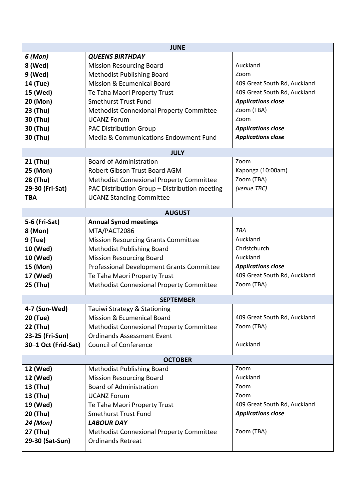| <b>JUNE</b>         |                                               |                              |  |  |
|---------------------|-----------------------------------------------|------------------------------|--|--|
| 6 (Mon)             | <b>QUEENS BIRTHDAY</b>                        |                              |  |  |
| 8 (Wed)             | <b>Mission Resourcing Board</b>               | Auckland                     |  |  |
| 9 (Wed)             | <b>Methodist Publishing Board</b>             | Zoom                         |  |  |
| 14 (Tue)            | Mission & Ecumenical Board                    | 409 Great South Rd, Auckland |  |  |
| 15 (Wed)            | Te Taha Maori Property Trust                  | 409 Great South Rd, Auckland |  |  |
| 20 (Mon)            | <b>Smethurst Trust Fund</b>                   | <b>Applications close</b>    |  |  |
| 23 (Thu)            | Methodist Connexional Property Committee      | Zoom (TBA)                   |  |  |
| 30 (Thu)            | <b>UCANZ Forum</b>                            | Zoom                         |  |  |
| 30 (Thu)            | <b>PAC Distribution Group</b>                 | <b>Applications close</b>    |  |  |
| 30 (Thu)            | Media & Communications Endowment Fund         | <b>Applications close</b>    |  |  |
|                     |                                               |                              |  |  |
|                     | <b>JULY</b>                                   | Zoom                         |  |  |
| 21 (Thu)            | <b>Board of Administration</b>                |                              |  |  |
| 25 (Mon)            | Robert Gibson Trust Board AGM                 | Kaponga (10:00am)            |  |  |
| 28 (Thu)            | Methodist Connexional Property Committee      | Zoom (TBA)<br>(venue TBC)    |  |  |
| 29-30 (Fri-Sat)     | PAC Distribution Group - Distribution meeting |                              |  |  |
| <b>TBA</b>          | <b>UCANZ Standing Committee</b>               |                              |  |  |
|                     | <b>AUGUST</b>                                 |                              |  |  |
| 5-6 (Fri-Sat)       | <b>Annual Synod meetings</b>                  |                              |  |  |
| 8 (Mon)             | MTA/PACT2086                                  | TBA                          |  |  |
| 9 (Tue)             | <b>Mission Resourcing Grants Committee</b>    | Auckland                     |  |  |
| 10 (Wed)            | Methodist Publishing Board                    | Christchurch                 |  |  |
| 10 (Wed)            | <b>Mission Resourcing Board</b>               | Auckland                     |  |  |
| 15 (Mon)            | Professional Development Grants Committee     | <b>Applications close</b>    |  |  |
| 17 (Wed)            | Te Taha Maori Property Trust                  | 409 Great South Rd, Auckland |  |  |
| 25 (Thu)            | Methodist Connexional Property Committee      | Zoom (TBA)                   |  |  |
|                     |                                               |                              |  |  |
|                     | <b>SEPTEMBER</b>                              |                              |  |  |
| 4-7 (Sun-Wed)       | Tauiwi Strategy & Stationing                  |                              |  |  |
| 20 (Tue)            | <b>Mission &amp; Ecumenical Board</b>         | 409 Great South Rd, Auckland |  |  |
| 22 (Thu)            | Methodist Connexional Property Committee      | Zoom (TBA)                   |  |  |
| 23-25 (Fri-Sun)     | <b>Ordinands Assessment Event</b>             |                              |  |  |
| 30-1 Oct (Frid-Sat) | <b>Council of Conference</b>                  | Auckland                     |  |  |
|                     | <b>OCTOBER</b>                                |                              |  |  |
| 12 (Wed)            | <b>Methodist Publishing Board</b>             | Zoom                         |  |  |
| 12 (Wed)            | <b>Mission Resourcing Board</b>               | Auckland                     |  |  |
| 13 (Thu)            | <b>Board of Administration</b>                | Zoom                         |  |  |
| 13 (Thu)            | <b>UCANZ Forum</b>                            | Zoom                         |  |  |
| 19 (Wed)            | Te Taha Maori Property Trust                  | 409 Great South Rd, Auckland |  |  |
| 20 (Thu)            | Smethurst Trust Fund                          | <b>Applications close</b>    |  |  |
| 24 (Mon)            | <b>LABOUR DAY</b>                             |                              |  |  |
| 27 (Thu)            | Methodist Connexional Property Committee      | Zoom (TBA)                   |  |  |
| 29-30 (Sat-Sun)     | <b>Ordinands Retreat</b>                      |                              |  |  |
|                     |                                               |                              |  |  |